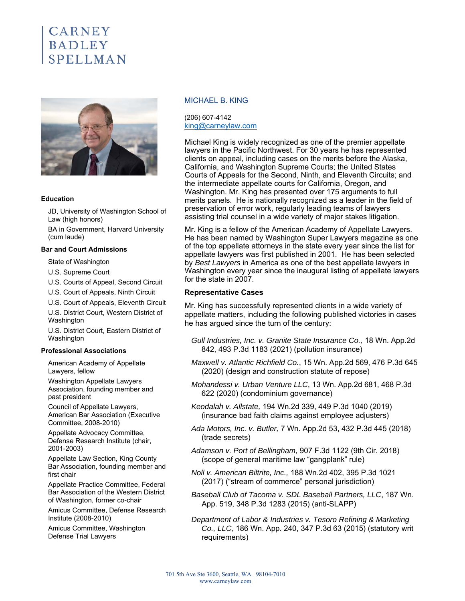# **CARNEY BADLEY** SPELLMAN



### **Education**

JD, University of Washington School of Law (high honors)

BA in Government, Harvard University (cum laude)

#### **Bar and Court Admissions**

State of Washington

U.S. Supreme Court

U.S. Courts of Appeal, Second Circuit

U.S. Court of Appeals, Ninth Circuit

U.S. Court of Appeals, Eleventh Circuit U.S. District Court, Western District of Washington

U.S. District Court, Eastern District of Washington

### **Professional Associations**

American Academy of Appellate Lawyers, fellow

Washington Appellate Lawyers Association, founding member and past president

Council of Appellate Lawyers, American Bar Association (Executive Committee, 2008-2010)

Appellate Advocacy Committee, Defense Research Institute (chair, 2001-2003)

Appellate Law Section, King County Bar Association, founding member and first chair

Appellate Practice Committee, Federal Bar Association of the Western District of Washington, former co-chair

Amicus Committee, Defense Research Institute (2008-2010)

Amicus Committee, Washington Defense Trial Lawyers

### MICHAEL B. KING

(206) 607-4142 king@carneylaw.com

Michael King is widely recognized as one of the premier appellate lawyers in the Pacific Northwest. For 30 years he has represented clients on appeal, including cases on the merits before the Alaska, California, and Washington Supreme Courts; the United States Courts of Appeals for the Second, Ninth, and Eleventh Circuits; and the intermediate appellate courts for California, Oregon, and Washington. Mr. King has presented over 175 arguments to full merits panels. He is nationally recognized as a leader in the field of preservation of error work, regularly leading teams of lawyers assisting trial counsel in a wide variety of major stakes litigation.

Mr. King is a fellow of the American Academy of Appellate Lawyers. He has been named by Washington Super Lawyers magazine as one of the top appellate attorneys in the state every year since the list for appellate lawyers was first published in 2001. He has been selected by *Best Lawyers* in America as one of the best appellate lawyers in Washington every year since the inaugural listing of appellate lawyers for the state in 2007.

### **Representative Cases**

Mr. King has successfully represented clients in a wide variety of appellate matters, including the following published victories in cases he has argued since the turn of the century:

- *Gull Industries, Inc. v. Granite State Insurance Co.,* 18 Wn. App.2d 842, 493 P.3d 1183 (2021) (pollution insurance)
- *Maxwell v. Atlantic Richfield Co.*, 15 Wn. App.2d 569, 476 P.3d 645 (2020) (design and construction statute of repose)
- *Mohandessi v. Urban Venture LLC*, 13 Wn. App.2d 681, 468 P.3d 622 (2020) (condominium governance)
- *Keodalah v. Allstate,* 194 Wn.2d 339, 449 P.3d 1040 (2019) (insurance bad faith claims against employee adjusters)
- *Ada Motors, Inc. v. Butler,* 7 Wn. App.2d 53, 432 P.3d 445 (2018) (trade secrets)
- *Adamson v. Port of Bellingham,* 907 F.3d 1122 (9th Cir. 2018) (scope of general maritime law "gangplank" rule)
- *Noll v. American Biltrite, Inc.,* 188 Wn.2d 402, 395 P.3d 1021 (2017) ("stream of commerce" personal jurisdiction)

*Baseball Club of Tacoma v. SDL Baseball Partners, LLC*, 187 Wn. App. 519, 348 P.3d 1283 (2015) (anti-SLAPP)

*Department of Labor & Industries v. Tesoro Refining & Marketing Co., LLC,* 186 Wn. App. 240, 347 P.3d 63 (2015) (statutory writ requirements)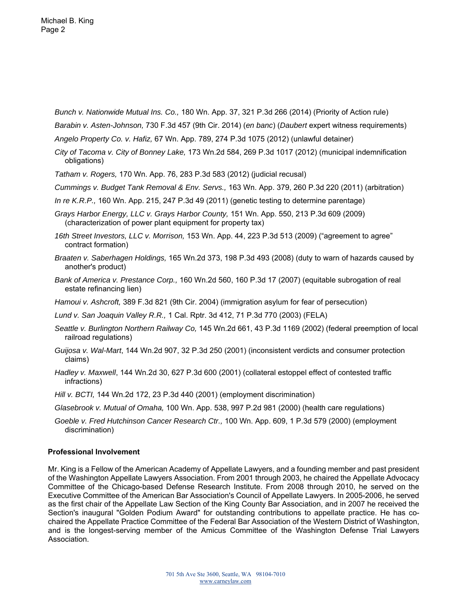*Bunch v. Nationwide Mutual Ins. Co.,* 180 Wn. App. 37, 321 P.3d 266 (2014) (Priority of Action rule)

*Barabin v. Asten-Johnson,* 730 F.3d 457 (9th Cir. 2014) (*en banc*) (*Daubert* expert witness requirements)

- *Angelo Property Co. v. Hafiz,* 67 Wn. App. 789, 274 P.3d 1075 (2012) (unlawful detainer)
- *City of Tacoma v. City of Bonney Lake,* 173 Wn.2d 584, 269 P.3d 1017 (2012) (municipal indemnification obligations)
- *Tatham v. Rogers,* 170 Wn. App. 76, 283 P.3d 583 (2012) (judicial recusal)
- *Cummings v. Budget Tank Removal & Env. Servs.,* 163 Wn. App. 379, 260 P.3d 220 (2011) (arbitration)
- *In re K.R.P.,* 160 Wn. App. 215, 247 P.3d 49 (2011) (genetic testing to determine parentage)
- *Grays Harbor Energy, LLC v. Grays Harbor County,* 151 Wn. App. 550, 213 P.3d 609 (2009) (characterization of power plant equipment for property tax)
- *16th Street Investors, LLC v. Morrison,* 153 Wn. App. 44, 223 P.3d 513 (2009) ("agreement to agree" contract formation)
- *Braaten v. Saberhagen Holdings,* 165 Wn.2d 373, 198 P.3d 493 (2008) (duty to warn of hazards caused by another's product)
- *Bank of America v. Prestance Corp.,* 160 Wn.2d 560, 160 P.3d 17 (2007) (equitable subrogation of real estate refinancing lien)
- *Hamoui v. Ashcroft,* 389 F.3d 821 (9th Cir. 2004) (immigration asylum for fear of persecution)
- *Lund v. San Joaquin Valley R.R.,* 1 Cal. Rptr. 3d 412, 71 P.3d 770 (2003) (FELA)
- *Seattle v. Burlington Northern Railway Co,* 145 Wn.2d 661, 43 P.3d 1169 (2002) (federal preemption of local railroad regulations)
- *Guijosa v. Wal-Mart*, 144 Wn.2d 907, 32 P.3d 250 (2001) (inconsistent verdicts and consumer protection claims)
- *Hadley v. Maxwell*, 144 Wn.2d 30, 627 P.3d 600 (2001) (collateral estoppel effect of contested traffic infractions)
- *Hill v. BCTI,* 144 Wn.2d 172, 23 P.3d 440 (2001) (employment discrimination)
- *Glasebrook v. Mutual of Omaha,* 100 Wn. App. 538, 997 P.2d 981 (2000) (health care regulations)
- *Goeble v. Fred Hutchinson Cancer Research Ctr.,* 100 Wn. App. 609, 1 P.3d 579 (2000) (employment discrimination)

## **Professional Involvement**

Mr. King is a Fellow of the American Academy of Appellate Lawyers, and a founding member and past president of the Washington Appellate Lawyers Association. From 2001 through 2003, he chaired the Appellate Advocacy Committee of the Chicago-based Defense Research Institute. From 2008 through 2010, he served on the Executive Committee of the American Bar Association's Council of Appellate Lawyers. In 2005-2006, he served as the first chair of the Appellate Law Section of the King County Bar Association, and in 2007 he received the Section's inaugural "Golden Podium Award" for outstanding contributions to appellate practice. He has cochaired the Appellate Practice Committee of the Federal Bar Association of the Western District of Washington, and is the longest-serving member of the Amicus Committee of the Washington Defense Trial Lawyers Association.